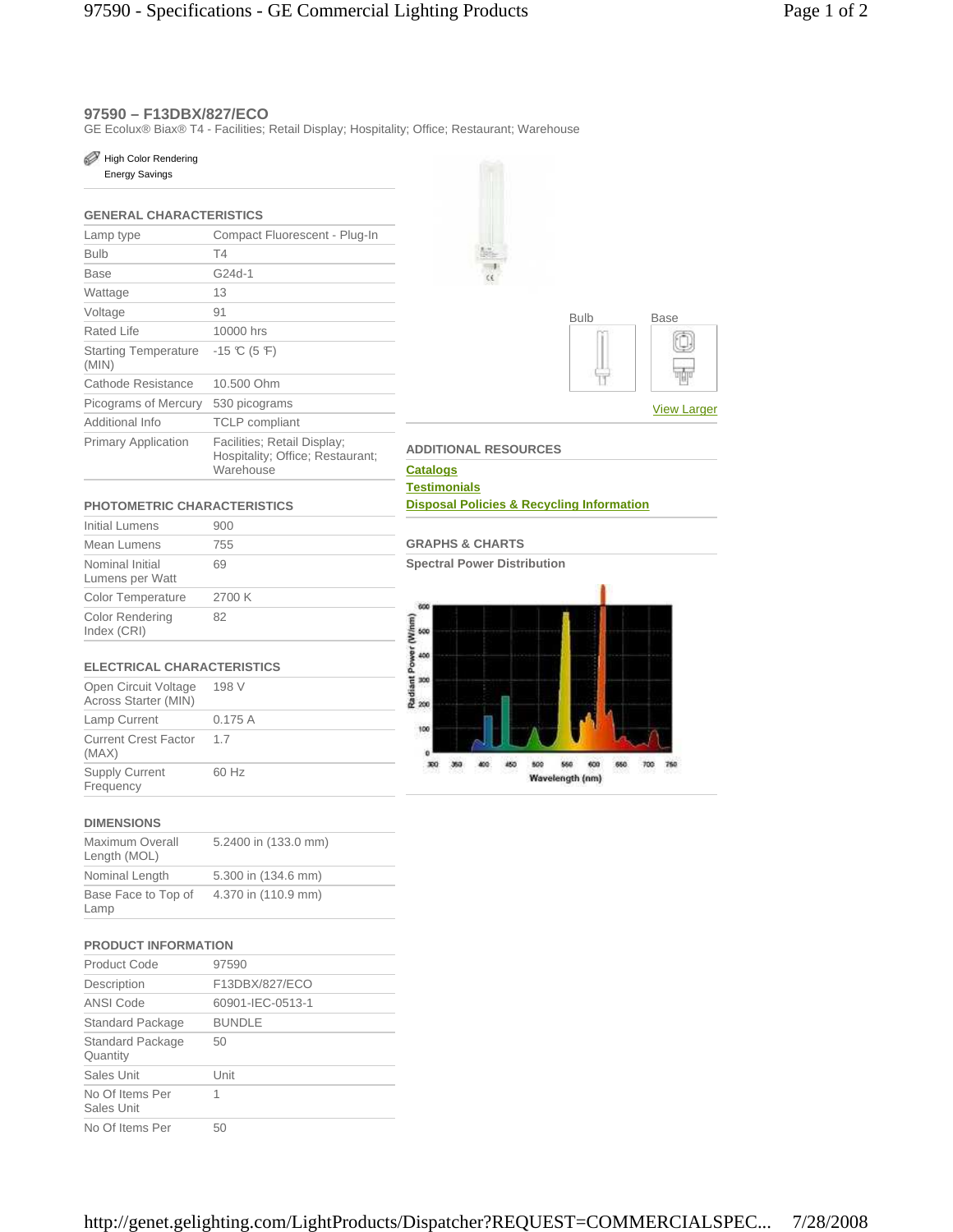## **97590 – F13DBX/827/ECO**

GE Ecolux® Biax® T4 - Facilities; Retail Display; Hospitality; Office; Restaurant; Warehouse

## High Color Rendering

Energy Savings

## **GENERAL CHARACTERISTICS**

| Lamp type                            | Compact Fluorescent - Plug-In                                                |  |
|--------------------------------------|------------------------------------------------------------------------------|--|
| Bulb                                 | T4                                                                           |  |
| Base                                 | G24d-1                                                                       |  |
| Wattage                              | 13                                                                           |  |
| Voltage                              | 91                                                                           |  |
| Rated Life                           | 10000 hrs                                                                    |  |
| <b>Starting Temperature</b><br>(MIN) | $-15$ °C (5 °F)                                                              |  |
| Cathode Resistance                   | 10.500 Ohm                                                                   |  |
| Picograms of Mercury                 | 530 picograms                                                                |  |
| Additional Info                      | <b>TCLP</b> compliant                                                        |  |
| <b>Primary Application</b>           | Facilities; Retail Display;<br>Hospitality; Office; Restaurant;<br>Warehouse |  |





#### **ADDITIONAL RESOURCES**

**Catalogs Testimonials Disposal Policies & Recycling Information**

#### **PHOTOMETRIC CHARACTERISTICS**

| Initial Lumens                     | 900    |
|------------------------------------|--------|
| Mean Lumens                        | 755    |
| Nominal Initial<br>Lumens per Watt | 69     |
| <b>Color Temperature</b>           | 2700 K |
| Color Rendering<br>Index (CRI)     | 82     |
|                                    |        |

#### **ELECTRICAL CHARACTERISTICS**

| Open Circuit Voltage<br>Across Starter (MIN) | 198 V   |
|----------------------------------------------|---------|
| Lamp Current                                 | 0.175 A |
| <b>Current Crest Factor</b><br>(MAX)         | 1.7     |
| <b>Supply Current</b><br>Frequency           | 60 Hz   |

### **DIMENSIONS**

| Maximum Overall<br>Length (MOL) | 5.2400 in (133.0 mm) |
|---------------------------------|----------------------|
| Nominal Length                  | 5.300 in (134.6 mm)  |
| Base Face to Top of<br>Lamp     | 4.370 in (110.9 mm)  |

#### **PRODUCT INFORMATION**

| Product Code                  | 97590            |
|-------------------------------|------------------|
| Description                   | F13DBX/827/ECO   |
| ANSI Code                     | 60901-IEC-0513-1 |
| Standard Package              | <b>BUNDLE</b>    |
| Standard Package<br>Quantity  | 50               |
| Sales Unit                    | Unit             |
| No Of Items Per<br>Sales Unit | 1                |
| No Of Items Per               | 50               |



**Spectral Power Distribution**